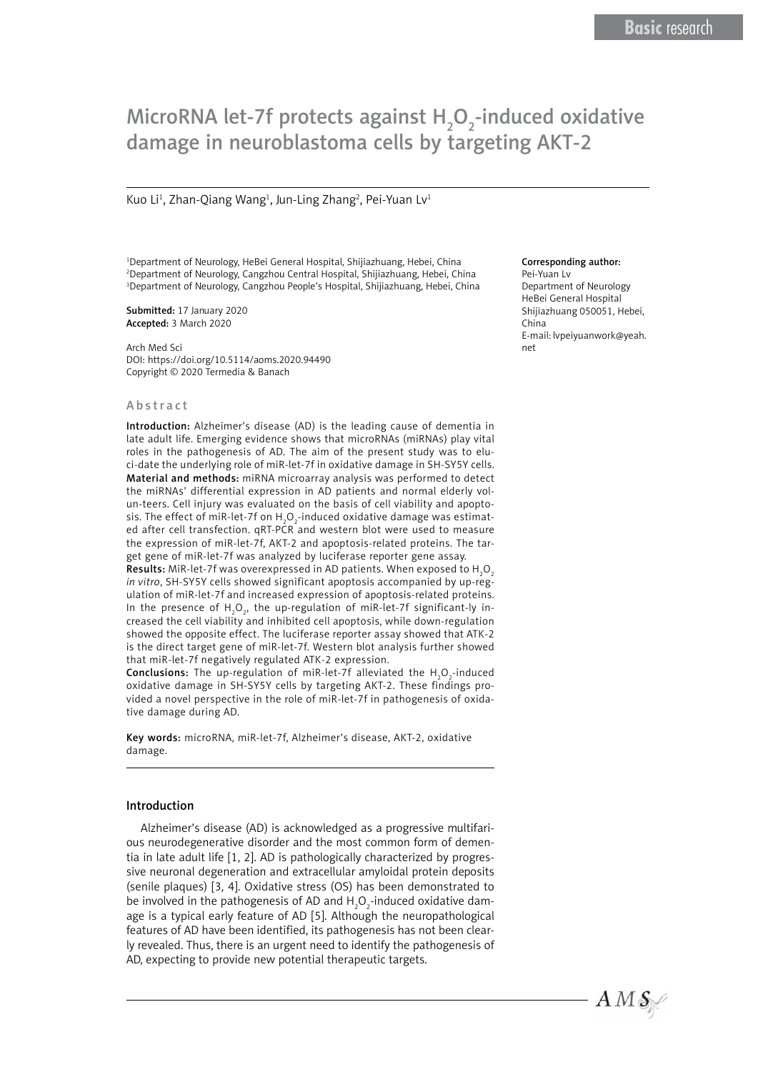# MicroRNA let-7f protects against  $H_2O_2$ -induced oxidative damage in neuroblastoma cells by targeting AKT-2

Kuo Li<sup>1</sup>, Zhan-Qiang Wang<sup>1</sup>, Jun-Ling Zhang<sup>2</sup>, Pei-Yuan Lv<sup>1</sup>

1 Department of Neurology, HeBei General Hospital, Shijiazhuang, Hebei, China 2 Department of Neurology, Cangzhou Central Hospital, Shijiazhuang, Hebei, China 3 Department of Neurology, Cangzhou People's Hospital, Shijiazhuang, Hebei, China

Submitted: 17 January 2020 Accepted: 3 March 2020

Arch Med Sci DOI: https://doi.org/10.5114/aoms.2020.94490 Copyright © 2020 Termedia & Banach

#### Abstract

Introduction: Alzheimer's disease (AD) is the leading cause of dementia in late adult life. Emerging evidence shows that microRNAs (miRNAs) play vital roles in the pathogenesis of AD. The aim of the present study was to eluci-date the underlying role of miR-let-7f in oxidative damage in SH-SY5Y cells. Material and methods: miRNA microarray analysis was performed to detect the miRNAs' differential expression in AD patients and normal elderly volun-teers. Cell injury was evaluated on the basis of cell viability and apoptosis. The effect of miR-let-7f on  $\mathsf{H}_2\mathsf{O}_2$ -induced oxidative damage was estimated after cell transfection.  $qRT-P^{\hat{C}}R^{\hat{}}$  and western blot were used to measure the expression of miR-let-7f, AKT-2 and apoptosis-related proteins. The target gene of miR-let-7f was analyzed by luciferase reporter gene assay.

**Results:** MiR-let-7f was overexpressed in AD patients. When exposed to  $\mathsf{H}_\mathsf{2}\mathsf{O}_\mathsf{2}$ *in vitro*, SH-SY5Y cells showed significant apoptosis accompanied by up-regulation of miR-let-7f and increased expression of apoptosis-related proteins. In the presence of  $H_2O_2$ , the up-regulation of miR-let-7f significant-ly increased the cell viability and inhibited cell apoptosis, while down-regulation showed the opposite effect. The luciferase reporter assay showed that ATK-2 is the direct target gene of miR-let-7f. Western blot analysis further showed that miR-let-7f negatively regulated ATK-2 expression.

**Conclusions:** The up-regulation of miR-let-7f alleviated the  $H_2O_2$ -induced oxidative damage in SH-SY5Y cells by targeting AKT-2. These findings provided a novel perspective in the role of miR-let-7f in pathogenesis of oxidative damage during AD.

Key words: microRNA, miR-let-7f, Alzheimer's disease, AKT-2, oxidative damage.

### Introduction

Alzheimer's disease (AD) is acknowledged as a progressive multifarious neurodegenerative disorder and the most common form of dementia in late adult life [1, 2]. AD is pathologically characterized by progressive neuronal degeneration and extracellular amyloidal protein deposits (senile plaques) [3, 4]. Oxidative stress (OS) has been demonstrated to be involved in the pathogenesis of AD and  ${\sf H}_2{\sf O}_2$ -induced oxidative damage is a typical early feature of AD [5]. Although the neuropathological features of AD have been identified, its pathogenesis has not been clearly revealed. Thus, there is an urgent need to identify the pathogenesis of AD, expecting to provide new potential therapeutic targets.

#### Corresponding author:

Pei-Yuan Lv Department of Neurology HeBei General Hospital Shijiazhuang 050051, Hebei, China E-mail: lvpeiyuanwork@yeah. net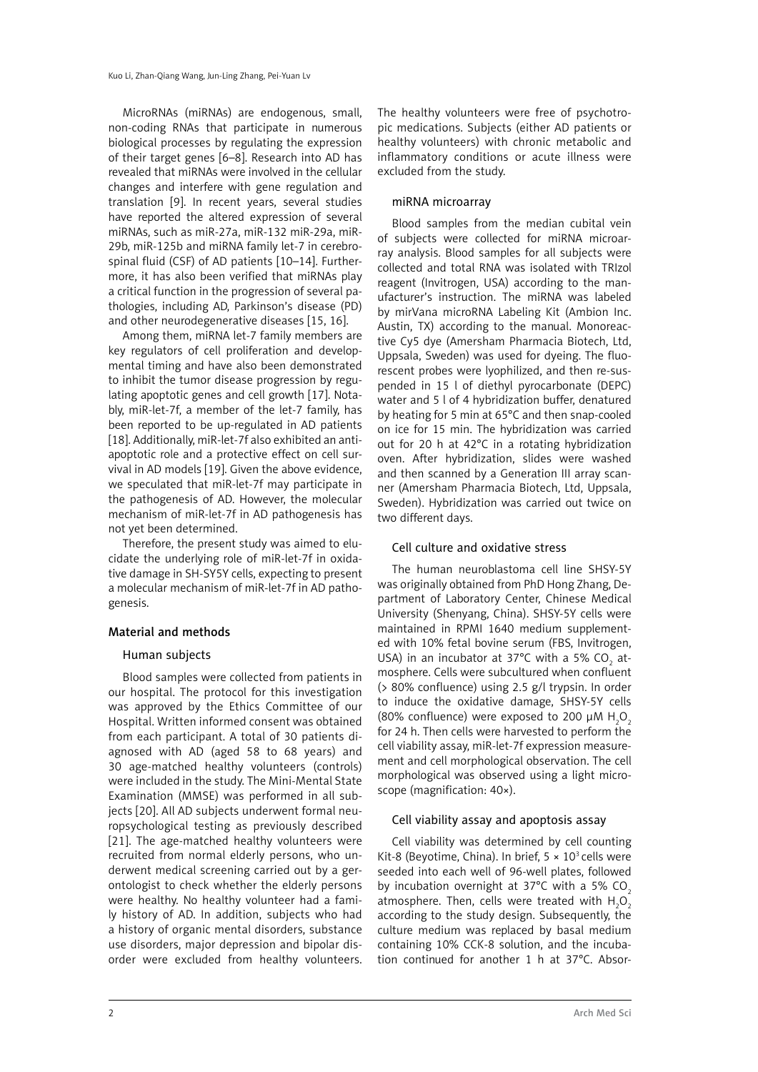MicroRNAs (miRNAs) are endogenous, small, non-coding RNAs that participate in numerous biological processes by regulating the expression of their target genes [6–8]. Research into AD has revealed that miRNAs were involved in the cellular changes and interfere with gene regulation and translation [9]. In recent years, several studies have reported the altered expression of several miRNAs, such as miR-27a, miR-132 miR-29a, miR-29b, miR-125b and miRNA family let-7 in cerebrospinal fluid (CSF) of AD patients [10–14]. Furthermore, it has also been verified that miRNAs play a critical function in the progression of several pathologies, including AD, Parkinson's disease (PD) and other neurodegenerative diseases [15, 16].

Among them, miRNA let-7 family members are key regulators of cell proliferation and developmental timing and have also been demonstrated to inhibit the tumor disease progression by regulating apoptotic genes and cell growth [17]. Notably, miR-let-7f, a member of the let-7 family, has been reported to be up-regulated in AD patients [18]. Additionally, miR-let-7f also exhibited an antiapoptotic role and a protective effect on cell survival in AD models [19]. Given the above evidence, we speculated that miR-let-7f may participate in the pathogenesis of AD. However, the molecular mechanism of miR-let-7f in AD pathogenesis has not yet been determined.

Therefore, the present study was aimed to elucidate the underlying role of miR-let-7f in oxidative damage in SH-SY5Y cells, expecting to present a molecular mechanism of miR-let-7f in AD pathogenesis.

## Material and methods

## Human subjects

Blood samples were collected from patients in our hospital. The protocol for this investigation was approved by the Ethics Committee of our Hospital. Written informed consent was obtained from each participant. A total of 30 patients diagnosed with AD (aged 58 to 68 years) and 30 age-matched healthy volunteers (controls) were included in the study. The Mini-Mental State Examination (MMSE) was performed in all subjects [20]. All AD subjects underwent formal neuropsychological testing as previously described [21]. The age-matched healthy volunteers were recruited from normal elderly persons, who underwent medical screening carried out by a gerontologist to check whether the elderly persons were healthy. No healthy volunteer had a family history of AD. In addition, subjects who had a history of organic mental disorders, substance use disorders, major depression and bipolar disorder were excluded from healthy volunteers. The healthy volunteers were free of psychotropic medications. Subjects (either AD patients or healthy volunteers) with chronic metabolic and inflammatory conditions or acute illness were excluded from the study.

## miRNA microarray

Blood samples from the median cubital vein of subjects were collected for miRNA microarray analysis. Blood samples for all subjects were collected and total RNA was isolated with TRIzol reagent (Invitrogen, USA) according to the manufacturer's instruction. The miRNA was labeled by mirVana microRNA Labeling Kit (Ambion Inc. Austin, TX) according to the manual. Monoreactive Cy5 dye (Amersham Pharmacia Biotech, Ltd, Uppsala, Sweden) was used for dyeing. The fluorescent probes were lyophilized, and then re-suspended in 15 l of diethyl pyrocarbonate (DEPC) water and 5 l of 4 hybridization buffer, denatured by heating for 5 min at 65°C and then snap-cooled on ice for 15 min. The hybridization was carried out for 20 h at 42°C in a rotating hybridization oven. After hybridization, slides were washed and then scanned by a Generation III array scanner (Amersham Pharmacia Biotech, Ltd, Uppsala, Sweden). Hybridization was carried out twice on two different days.

## Cell culture and oxidative stress

The human neuroblastoma cell line SHSY-5Y was originally obtained from PhD Hong Zhang, Department of Laboratory Center, Chinese Medical University (Shenyang, China). SHSY-5Y cells were maintained in RPMI 1640 medium supplemented with 10% fetal bovine serum (FBS, Invitrogen, USA) in an incubator at 37°C with a 5% CO<sub>2</sub> atmosphere. Cells were subcultured when confluent (> 80% confluence) using 2.5 g/l trypsin. In order to induce the oxidative damage, SHSY-5Y cells (80% confluence) were exposed to 200  $\mu$ M H<sub>2</sub>O<sub>2</sub> for 24 h. Then cells were harvested to perform the cell viability assay, miR-let-7f expression measurement and cell morphological observation. The cell morphological was observed using a light microscope (magnification: 40×).

## Cell viability assay and apoptosis assay

Cell viability was determined by cell counting Kit-8 (Beyotime, China). In brief,  $5 \times 10^3$  cells were seeded into each well of 96-well plates, followed by incubation overnight at  $37^{\circ}$ C with a  $5\%$  CO. atmosphere. Then, cells were treated with  $H_2O_2$ according to the study design. Subsequently, the culture medium was replaced by basal medium containing 10% CCK-8 solution, and the incubation continued for another 1 h at 37°C. Absor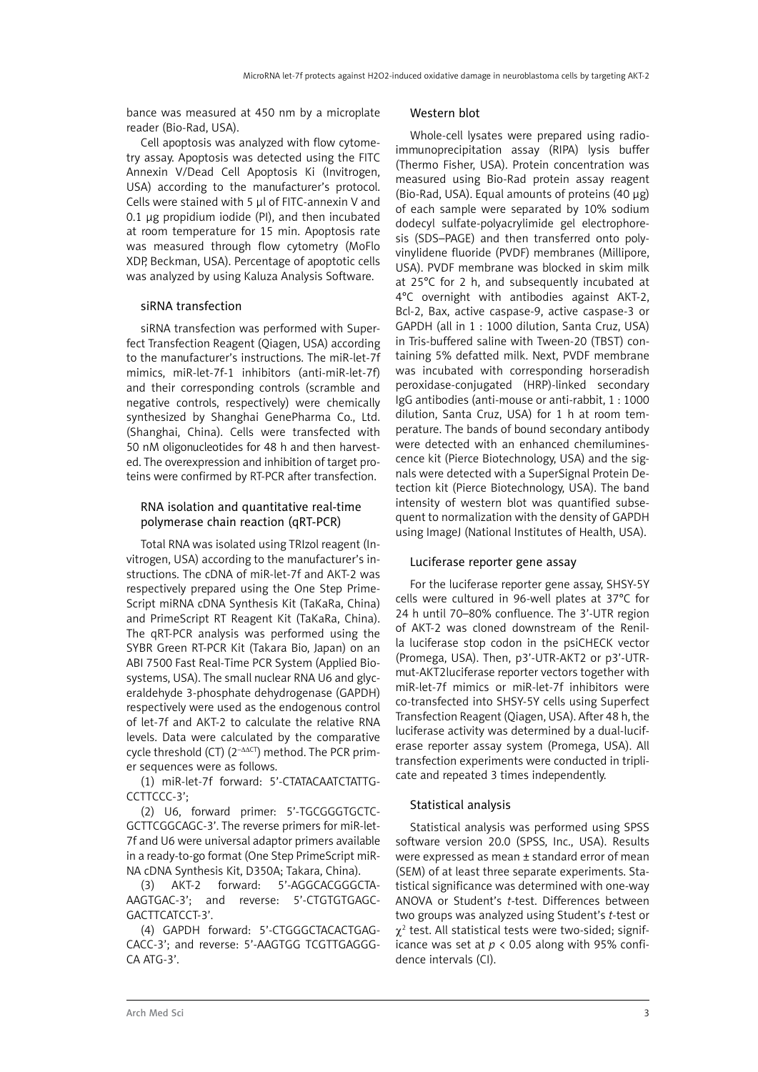bance was measured at 450 nm by a microplate reader (Bio-Rad, USA).

Cell apoptosis was analyzed with flow cytometry assay. Apoptosis was detected using the FITC Annexin V/Dead Cell Apoptosis Ki (Invitrogen, USA) according to the manufacturer's protocol. Cells were stained with 5 μl of FITC-annexin V and 0.1 μg propidium iodide (PI), and then incubated at room temperature for 15 min. Apoptosis rate was measured through flow cytometry (MoFlo XDP, Beckman, USA). Percentage of apoptotic cells was analyzed by using Kaluza Analysis Software.

#### siRNA transfection

siRNA transfection was performed with Superfect Transfection Reagent (Qiagen, USA) according to the manufacturer's instructions. The miR-let-7f mimics, miR-let-7f-1 inhibitors (anti-miR-let-7f) and their corresponding controls (scramble and negative controls, respectively) were chemically synthesized by Shanghai GenePharma Co., Ltd. (Shanghai, China). Cells were transfected with 50 nM oligonucleotides for 48 h and then harvested. The overexpression and inhibition of target proteins were confirmed by RT-PCR after transfection.

## RNA isolation and quantitative real-time polymerase chain reaction (qRT-PCR)

Total RNA was isolated using TRIzol reagent (Invitrogen, USA) according to the manufacturer's instructions. The cDNA of miR-let-7f and AKT-2 was respectively prepared using the One Step Prime-Script miRNA cDNA Synthesis Kit (TaKaRa, China) and PrimeScript RT Reagent Kit (TaKaRa, China). The qRT-PCR analysis was performed using the SYBR Green RT-PCR Kit (Takara Bio, Japan) on an ABI 7500 Fast Real-Time PCR System (Applied Biosystems, USA). The small nuclear RNA U6 and glyceraldehyde 3-phosphate dehydrogenase (GAPDH) respectively were used as the endogenous control of let-7f and AKT-2 to calculate the relative RNA levels. Data were calculated by the comparative cycle threshold (CT) (2–ΔΔCT) method. The PCR primer sequences were as follows.

(1) miR-let-7f forward: 5'-CTATACAATCTATTG-CCTTCCC-3';

(2) U6, forward primer: 5'-TGCGGGTGCTC-GCTTCGGCAGC-3'. The reverse primers for miR-let-7f and U6 were universal adaptor primers available in a ready-to-go format (One Step PrimeScript miR-NA cDNA Synthesis Kit, D350A; Takara, China).

(3) AKT-2 forward: 5'-AGGCACGGGCTA-AAGTGAC-3'; and reverse: 5'-CTGTGTGAGC-GACTTCATCCT-3'.

(4) GAPDH forward: 5'-CTGGGCTACACTGAG-CACC-3'; and reverse: 5'-AAGTGG TCGTTGAGGG-CA ATG-3'.

#### Western blot

Whole-cell lysates were prepared using radioimmunoprecipitation assay (RIPA) lysis buffer (Thermo Fisher, USA). Protein concentration was measured using Bio-Rad protein assay reagent (Bio-Rad, USA). Equal amounts of proteins  $(40 \mu g)$ of each sample were separated by 10% sodium dodecyl sulfate-polyacrylimide gel electrophoresis (SDS–PAGE) and then transferred onto polyvinylidene fluoride (PVDF) membranes (Millipore, USA). PVDF membrane was blocked in skim milk at 25°C for 2 h, and subsequently incubated at 4°C overnight with antibodies against AKT-2, Bcl-2, Bax, active caspase-9, active caspase-3 or GAPDH (all in 1 : 1000 dilution, Santa Cruz, USA) in Tris-buffered saline with Tween-20 (TBST) containing 5% defatted milk. Next, PVDF membrane was incubated with corresponding horseradish peroxidase-conjugated (HRP)-linked secondary IgG antibodies (anti-mouse or anti-rabbit, 1 : 1000 dilution, Santa Cruz, USA) for 1 h at room temperature. The bands of bound secondary antibody were detected with an enhanced chemiluminescence kit (Pierce Biotechnology, USA) and the signals were detected with a SuperSignal Protein Detection kit (Pierce Biotechnology, USA). The band intensity of western blot was quantified subsequent to normalization with the density of GAPDH using ImageJ (National Institutes of Health, USA).

## Luciferase reporter gene assay

For the luciferase reporter gene assay, SHSY-5Y cells were cultured in 96-well plates at 37°C for 24 h until 70–80% confluence. The 3'-UTR region of AKT-2 was cloned downstream of the Renilla luciferase stop codon in the psiCHECK vector (Promega, USA). Then, p3'-UTR-AKT2 or p3'-UTRmut-AKT2luciferase reporter vectors together with miR-let-7f mimics or miR-let-7f inhibitors were co-transfected into SHSY-5Y cells using Superfect Transfection Reagent (Qiagen, USA). After 48 h, the luciferase activity was determined by a dual-luciferase reporter assay system (Promega, USA). All transfection experiments were conducted in triplicate and repeated 3 times independently.

#### Statistical analysis

Statistical analysis was performed using SPSS software version 20.0 (SPSS, Inc., USA). Results were expressed as mean ± standard error of mean (SEM) of at least three separate experiments. Statistical significance was determined with one-way ANOVA or Student's *t*-test. Differences between two groups was analyzed using Student's *t*-test or  $\chi^2$  test. All statistical tests were two-sided; significance was set at  $p < 0.05$  along with 95% confidence intervals (CI).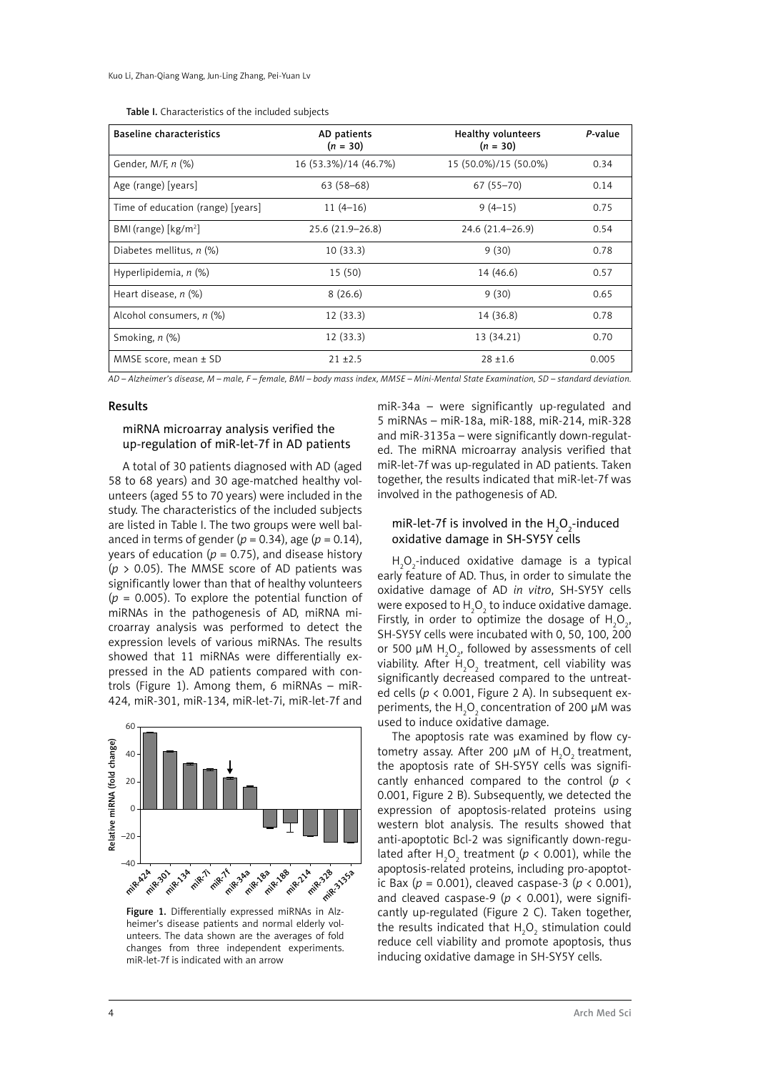| <b>Baseline characteristics</b>           | AD patients<br>$(n = 30)$ | <b>Healthy volunteers</b><br>$(n = 30)$ | P-value |
|-------------------------------------------|---------------------------|-----------------------------------------|---------|
| Gender, M/F, n (%)                        | 16 (53.3%)/14 (46.7%)     | 15 (50.0%)/15 (50.0%)                   | 0.34    |
| Age (range) [years]                       | $63(58-68)$               | $67(55 - 70)$                           | 0.14    |
| Time of education (range) [years]         | $11(4-16)$                | $9(4-15)$                               | 0.75    |
| BMI (range) $\lceil \text{kg/m}^2 \rceil$ | 25.6 (21.9-26.8)          | 24.6 (21.4–26.9)                        | 0.54    |
| Diabetes mellitus, $n$ (%)                | 10(33.3)                  | 9(30)                                   | 0.78    |
| Hyperlipidemia, $n$ $(\%)$                | 15(50)                    | 14 (46.6)                               | 0.57    |
| Heart disease, $n$ (%)                    | 8(26.6)                   | 9(30)                                   | 0.65    |
| Alcohol consumers, n (%)                  | 12(33.3)                  | 14 (36.8)                               | 0.78    |
| Smoking, n (%)                            | 12(33.3)                  | 13 (34.21)                              | 0.70    |
| MMSE score, mean $\pm$ SD                 | $21 + 2.5$                | $28 + 1.6$                              | 0.005   |

| Table I. Characteristics of the included subjects |  |
|---------------------------------------------------|--|
|---------------------------------------------------|--|

*AD – Alzheimer's disease, M – male, F – female, BMI – body mass index, MMSE – Mini-Mental State Examination, SD – standard deviation.*

#### Results

# miRNA microarray analysis verified the up-regulation of miR-let-7f in AD patients

A total of 30 patients diagnosed with AD (aged 58 to 68 years) and 30 age-matched healthy volunteers (aged 55 to 70 years) were included in the study. The characteristics of the included subjects are listed in Table I. The two groups were well balanced in terms of gender ( $p = 0.34$ ), age ( $p = 0.14$ ), years of education ( $p = 0.75$ ), and disease history (*p* > 0.05). The MMSE score of AD patients was significantly lower than that of healthy volunteers (*p* = 0.005). To explore the potential function of miRNAs in the pathogenesis of AD, miRNA microarray analysis was performed to detect the expression levels of various miRNAs. The results showed that 11 miRNAs were differentially expressed in the AD patients compared with controls (Figure 1). Among them, 6 miRNAs – miR-424, miR-301, miR-134, miR-let-7i, miR-let-7f and



Figure 1. Differentially expressed miRNAs in Alzheimer's disease patients and normal elderly volunteers. The data shown are the averages of fold changes from three independent experiments. miR-let-7f is indicated with an arrow

miR-34a – were significantly up-regulated and 5 miRNAs – miR-18a, miR-188, miR-214, miR-328 and miR-3135a – were significantly down-regulated. The miRNA microarray analysis verified that miR-let-7f was up-regulated in AD patients. Taken together, the results indicated that miR-let-7f was involved in the pathogenesis of AD.

## miR-let-7f is involved in the  $H_2O_2$ -induced oxidative damage in SH-SY5Y cells

 $H_2O_2$ -induced oxidative damage is a typical early feature of AD. Thus, in order to simulate the oxidative damage of AD *in vitro*, SH-SY5Y cells were exposed to  $\mathsf{H}_{\mathfrak{z}}\mathsf{O}_{\mathfrak{z}}$  to induce oxidative damage. Firstly, in order to optimize the dosage of  $H_2O_2$ , SH-SY5Y cells were incubated with 0, 50, 100, 200 or 500  $\mu$ M H<sub>2</sub>O<sub>2</sub>, followed by assessments of cell viability. After  ${\sf H}_2{\sf O}_2$  treatment, cell viability was significantly decreased compared to the untreated cells (*p* < 0.001, Figure 2 A). In subsequent experiments, the  $H_2O_2$  concentration of 200  $\mu$ M was used to induce oxidative damage.

The apoptosis rate was examined by flow cytometry assay. After 200  $\mu$ M of  $H_2O_2$  treatment, the apoptosis rate of SH-SY5Y cells was significantly enhanced compared to the control (*p* < 0.001, Figure 2 B). Subsequently, we detected the expression of apoptosis-related proteins using western blot analysis. The results showed that anti-apoptotic Bcl-2 was significantly down-regulated after  $H_2O_2$  treatment ( $p < 0.001$ ), while the apoptosis-related proteins, including pro-apoptotic Bax (*p* = 0.001), cleaved caspase-3 (*p* < 0.001), and cleaved caspase-9 ( $p \lt 0.001$ ), were significantly up-regulated (Figure 2 C). Taken together, the results indicated that  $H_2O_2$  stimulation could reduce cell viability and promote apoptosis, thus inducing oxidative damage in SH-SY5Y cells.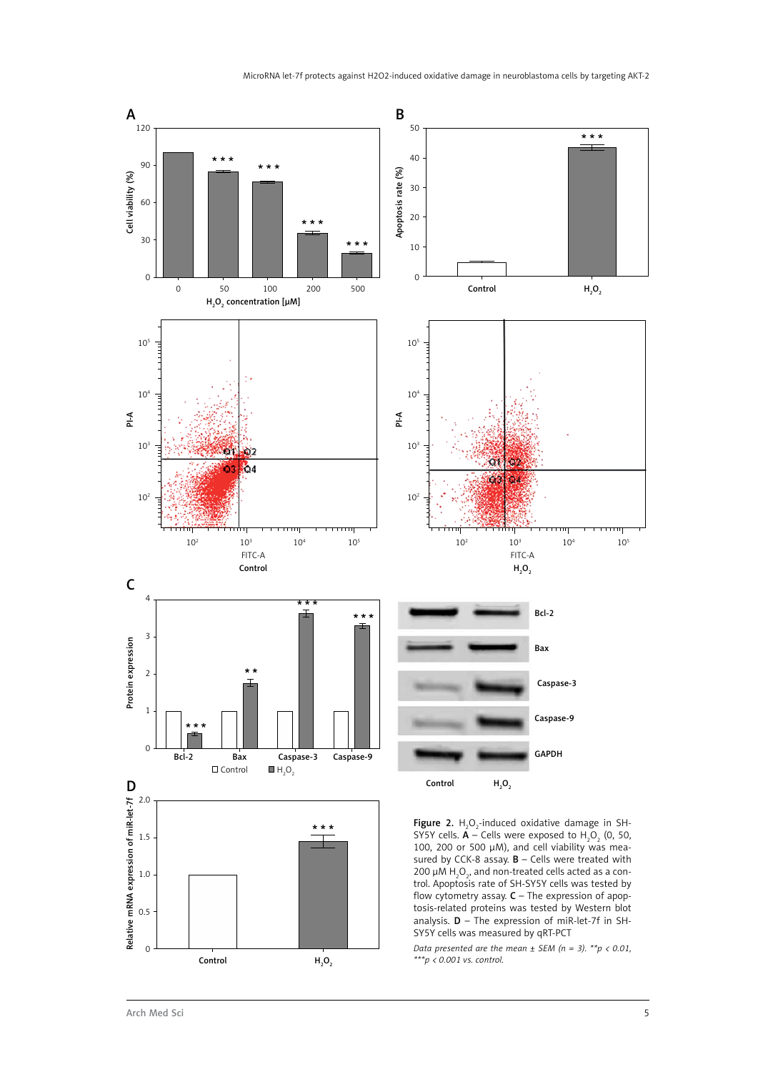

*Data presented are the mean ± SEM (n = 3). \*\*p < 0.01, \*\*\*p < 0.001 vs. control.*

Control

 $H_2O_2$ 

0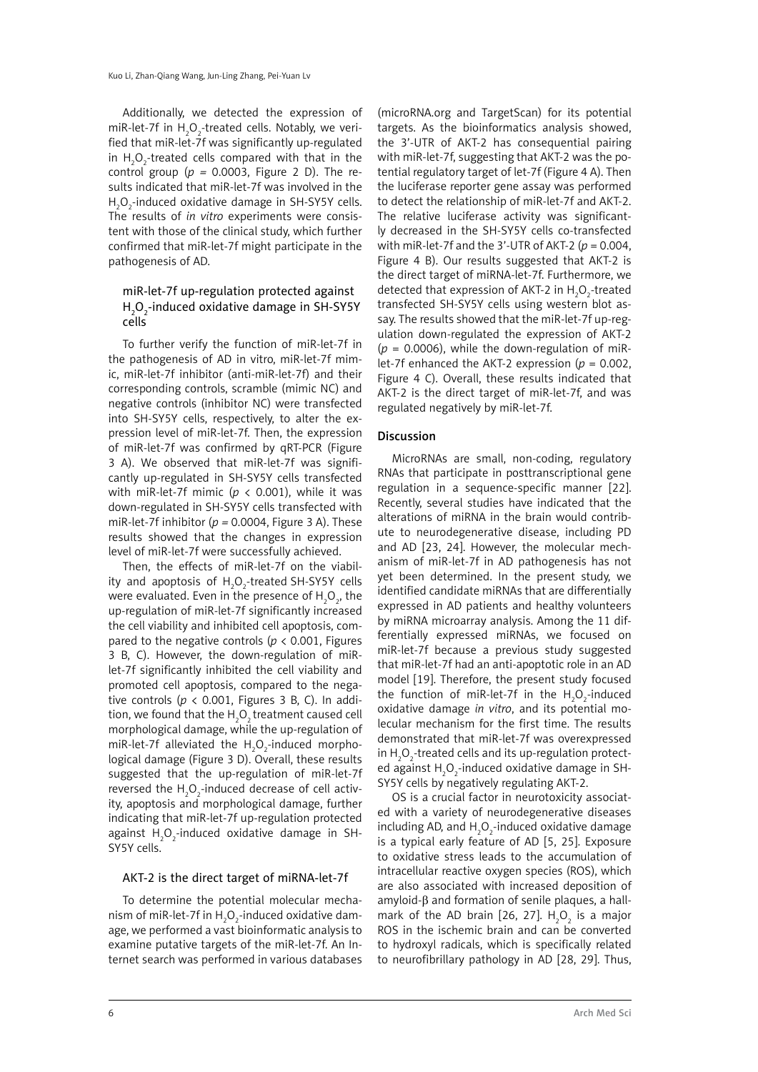Additionally, we detected the expression of miR-let-7f in  $H_2O_2$ -treated cells. Notably, we verified that miR-let-7f was significantly up-regulated in  $H_2O_2$ -treated cells compared with that in the control group ( $p = 0.0003$ , Figure 2 D). The results indicated that miR-let-7f was involved in the  $H_2O_2$ -induced oxidative damage in SH-SY5Y cells. The results of *in vitro* experiments were consistent with those of the clinical study, which further confirmed that miR-let-7f might participate in the pathogenesis of AD.

# miR-let-7f up-regulation protected against H<sub>2</sub>O<sub>2</sub>-induced oxidative damage in SH-SY5Y cells

To further verify the function of miR-let-7f in the pathogenesis of AD in vitro, miR-let-7f mimic, miR-let-7f inhibitor (anti-miR-let-7f) and their corresponding controls, scramble (mimic NC) and negative controls (inhibitor NC) were transfected into SH-SY5Y cells, respectively, to alter the expression level of miR-let-7f. Then, the expression of miR-let-7f was confirmed by qRT-PCR (Figure 3 A). We observed that miR-let-7f was significantly up-regulated in SH-SY5Y cells transfected with miR-let-7f mimic ( $p < 0.001$ ), while it was down-regulated in SH-SY5Y cells transfected with miR-let-7f inhibitor (*p =* 0.0004, Figure 3 A). These results showed that the changes in expression level of miR-let-7f were successfully achieved.

Then, the effects of miR-let-7f on the viability and apoptosis of  $H_2O_2$ -treated SH-SY5Y cells were evaluated. Even in the presence of  $H_2O_2$ , the up-regulation of miR-let-7f significantly increased the cell viability and inhibited cell apoptosis, compared to the negative controls ( $p < 0.001$ , Figures 3 B, C). However, the down-regulation of miRlet-7f significantly inhibited the cell viability and promoted cell apoptosis, compared to the negative controls ( $p < 0.001$ , Figures 3 B, C). In addition, we found that the  ${\sf H_2O_2}$ treatment caused cell morphological damage, while the up-regulation of miR-let-7f alleviated the  $H_2O_2$ -induced morphological damage (Figure 3 D). Overall, these results suggested that the up-regulation of miR-let-7f reversed the  $H_2O_2$ -induced decrease of cell activity, apoptosis and morphological damage, further indicating that miR-let-7f up-regulation protected against  $H_2O_2$ -induced oxidative damage in SH-SY5Y cells.

#### AKT-2 is the direct target of miRNA-let-7f

To determine the potential molecular mechanism of miR-let-7f in  ${\sf H}_2{\sf O}_2$ -induced oxidative damage, we performed a vast bioinformatic analysis to examine putative targets of the miR-let-7f. An Internet search was performed in various databases

(microRNA.org and TargetScan) for its potential targets. As the bioinformatics analysis showed, the 3'-UTR of AKT-2 has consequential pairing with miR-let-7f, suggesting that AKT-2 was the potential regulatory target of let-7f (Figure 4 A). Then the luciferase reporter gene assay was performed to detect the relationship of miR-let-7f and AKT-2. The relative luciferase activity was significantly decreased in the SH-SY5Y cells co-transfected with miR-let-7f and the 3'-UTR of AKT-2 (*p* = 0.004, Figure 4 B). Our results suggested that AKT-2 is the direct target of miRNA-let-7f. Furthermore, we detected that expression of AKT-2 in  $\mathrm{H_2O_2}$ -treated transfected SH-SY5Y cells using western blot assay. The results showed that the miR-let-7f up-regulation down-regulated the expression of AKT-2  $(p = 0.0006)$ , while the down-regulation of miRlet-7f enhanced the AKT-2 expression (*p* = 0.002, Figure 4 C). Overall, these results indicated that AKT-2 is the direct target of miR-let-7f, and was regulated negatively by miR-let-7f.

## Discussion

MicroRNAs are small, non-coding, regulatory RNAs that participate in posttranscriptional gene regulation in a sequence-specific manner [22]. Recently, several studies have indicated that the alterations of miRNA in the brain would contribute to neurodegenerative disease, including PD and AD [23, 24]. However, the molecular mechanism of miR-let-7f in AD pathogenesis has not yet been determined. In the present study, we identified candidate miRNAs that are differentially expressed in AD patients and healthy volunteers by miRNA microarray analysis. Among the 11 differentially expressed miRNAs, we focused on miR-let-7f because a previous study suggested that miR-let-7f had an anti-apoptotic role in an AD model [19]. Therefore, the present study focused the function of miR-let-7f in the  $H_2O_2$ -induced oxidative damage *in vitro*, and its potential molecular mechanism for the first time. The results demonstrated that miR-let-7f was overexpressed in  $H_2O_2$ -treated cells and its up-regulation protected against  ${\sf H}_{\tiny 2} {\sf O}_{\tiny 2}$ -induced oxidative damage in SH-SY5Y cells by negatively regulating AKT-2.

OS is a crucial factor in neurotoxicity associated with a variety of neurodegenerative diseases including AD, and  $H_2O_2$ -induced oxidative damage is a typical early feature of AD [5, 25]. Exposure to oxidative stress leads to the accumulation of intracellular reactive oxygen species (ROS), which are also associated with increased deposition of amyloid-β and formation of senile plaques, a hallmark of the AD brain [26, 27].  $H_2O_2$  is a major ROS in the ischemic brain and can be converted to hydroxyl radicals, which is specifically related to neurofibrillary pathology in AD [28, 29]. Thus,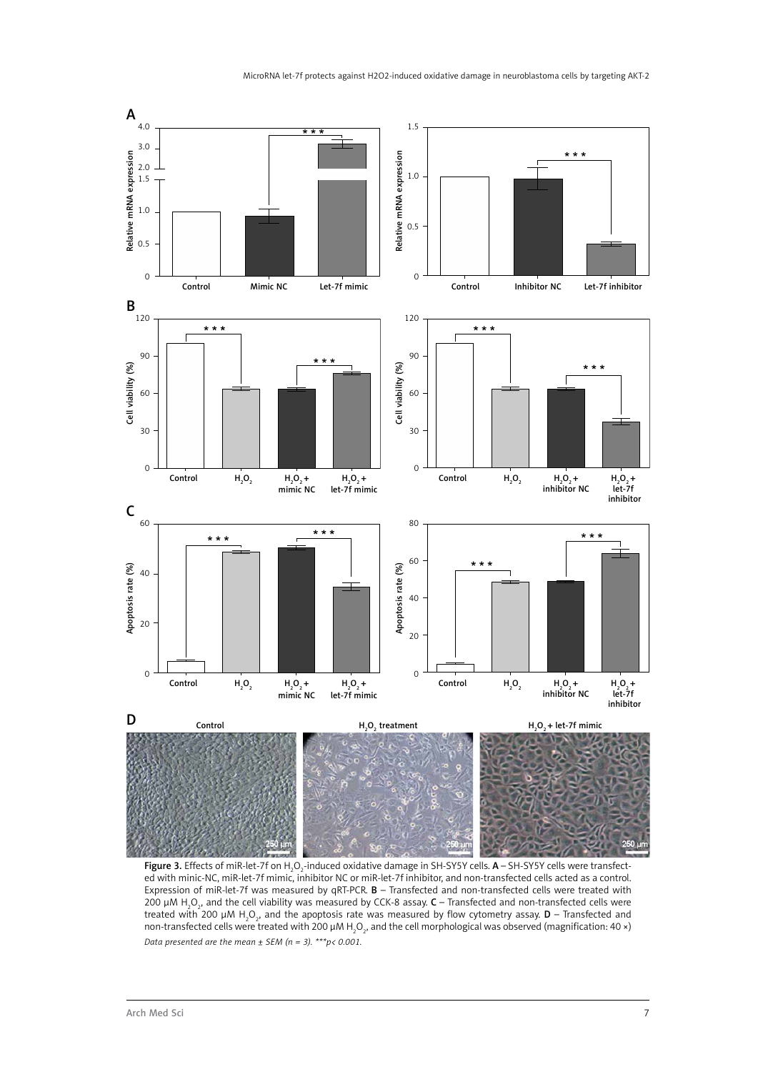

**Figure 3.** Effects of miR-let-7f on H<sub>2</sub>O<sub>2</sub>-induced oxidative damage in SH-SY5Y cells. **A** – SH-SY5Y cells were transfected with minic-NC, miR-let-7f mimic, inhibitor NC or miR-let-7f inhibitor, and non-transfected cells acted as a control. Expression of miR-let-7f was measured by qRT-PCR. B – Transfected and non-transfected cells were treated with 200 μM H<sub>2</sub>O<sub>2</sub>, and the cell viability was measured by CCK-8 assay. **C** – Transfected and non-transfected cells were treated with 200  $\mu$ M H $_2$ O $_2$ , and the apoptosis rate was measured by flow cytometry assay.  ${\sf D}$  – Transfected and non-transfected cells were treated with 200 μM H<sub>2</sub>O<sub>2</sub>, and the cell morphological was observed (magnification: 40 ×) *Data presented are the mean ± SEM (n = 3). \*\*\*p< 0.001.*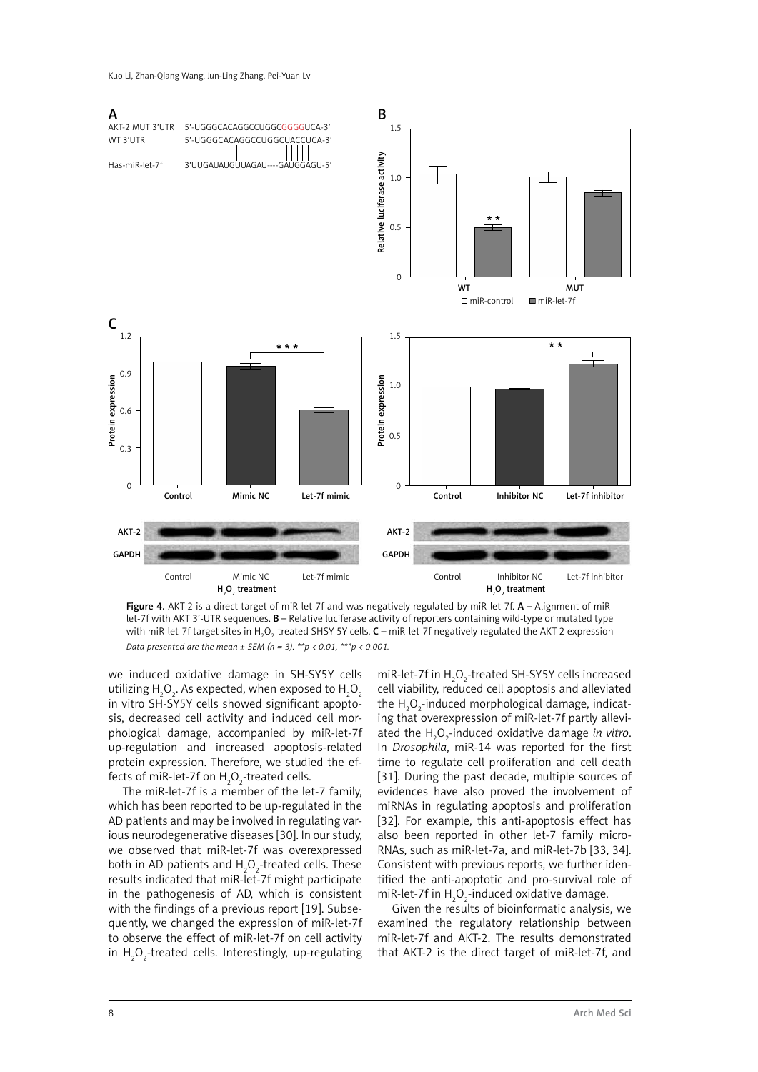Kuo Li, Zhan-Qiang Wang, Jun-Ling Zhang, Pei-Yuan Lv



Figure 4. AKT-2 is a direct target of miR-let-7f and was negatively regulated by miR-let-7f. A - Alignment of miRlet-7f with AKT 3'-UTR sequences. B – Relative luciferase activity of reporters containing wild-type or mutated type with miR-let-7f target sites in H<sub>2</sub>O<sub>2</sub>-treated SHSY-5Y cells. **C** – miR-let-7f negatively regulated the AKT-2 expression *Data presented are the mean ± SEM (n = 3). \*\*p < 0.01, \*\*\*p < 0.001.*

we induced oxidative damage in SH-SY5Y cells utilizing  ${\sf H}_{\mathfrak{z}} {\sf O}_{\mathfrak{z}}$ . As expected, when exposed to  ${\sf H}_{\mathfrak{z}} {\sf O}_{\mathfrak{z}}$ in vitro SH-SY5Y cells showed significant apoptosis, decreased cell activity and induced cell morphological damage, accompanied by miR-let-7f up-regulation and increased apoptosis-related protein expression. Therefore, we studied the effects of miR-let-7f on  $\rm H_2O_2$ -treated cells.

The miR-let-7f is a member of the let-7 family, which has been reported to be up-regulated in the AD patients and may be involved in regulating various neurodegenerative diseases [30]. In our study, we observed that miR-let-7f was overexpressed both in AD patients and  $H_2O_2$ -treated cells. These results indicated that miR-let-7f might participate in the pathogenesis of AD, which is consistent with the findings of a previous report [19]. Subsequently, we changed the expression of miR-let-7f to observe the effect of miR-let-7f on cell activity in  $H_2O_2$ -treated cells. Interestingly, up-regulating

miR-let-7f in  $H_2O_2$ -treated SH-SY5Y cells increased cell viability, reduced cell apoptosis and alleviated the  ${\sf H}_{\mathfrak{z}}{\sf O}_{\mathfrak{z}}$ -induced morphological damage, indicating that overexpression of miR-let-7f partly alleviated the H2 O2 -induced oxidative damage *in vitro*. In *Drosophila*, miR-14 was reported for the first time to regulate cell proliferation and cell death [31]. During the past decade, multiple sources of evidences have also proved the involvement of miRNAs in regulating apoptosis and proliferation [32]. For example, this anti-apoptosis effect has also been reported in other let-7 family micro-RNAs, such as miR-let-7a, and miR-let-7b [33, 34]. Consistent with previous reports, we further identified the anti-apoptotic and pro-survival role of miR-let-7f in  ${\sf H}_2{\sf O}_2$ -induced oxidative damage.

Given the results of bioinformatic analysis, we examined the regulatory relationship between miR-let-7f and AKT-2. The results demonstrated that AKT-2 is the direct target of miR-let-7f, and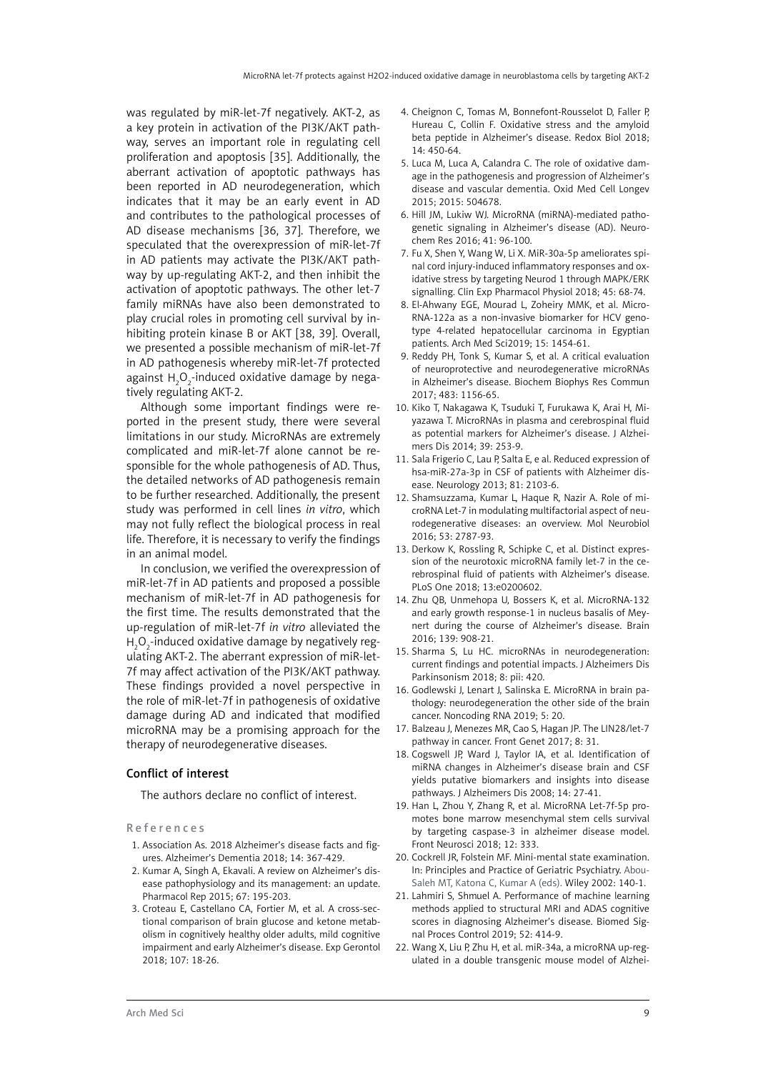was regulated by miR-let-7f negatively. AKT-2, as a key protein in activation of the PI3K/AKT pathway, serves an important role in regulating cell proliferation and apoptosis [35]. Additionally, the aberrant activation of apoptotic pathways has been reported in AD neurodegeneration, which indicates that it may be an early event in AD and contributes to the pathological processes of AD disease mechanisms [36, 37]. Therefore, we speculated that the overexpression of miR-let-7f in AD patients may activate the PI3K/AKT pathway by up-regulating AKT-2, and then inhibit the activation of apoptotic pathways. The other let-7 family miRNAs have also been demonstrated to play crucial roles in promoting cell survival by inhibiting protein kinase B or AKT [38, 39]. Overall, we presented a possible mechanism of miR-let-7f in AD pathogenesis whereby miR-let-7f protected against  ${\sf H}_{\tiny 2} {\sf O}_{\tiny 2}$ -induced oxidative damage by negatively regulating AKT-2.

Although some important findings were reported in the present study, there were several limitations in our study. MicroRNAs are extremely complicated and miR-let-7f alone cannot be responsible for the whole pathogenesis of AD. Thus, the detailed networks of AD pathogenesis remain to be further researched. Additionally, the present study was performed in cell lines *in vitro*, which may not fully reflect the biological process in real life. Therefore, it is necessary to verify the findings in an animal model.

In conclusion, we verified the overexpression of miR-let-7f in AD patients and proposed a possible mechanism of miR-let-7f in AD pathogenesis for the first time. The results demonstrated that the up-regulation of miR-let-7f *in vitro* alleviated the  ${\sf H}_2{\sf O}_2$ -induced oxidative damage by negatively regulating AKT-2. The aberrant expression of miR-let-7f may affect activation of the PI3K/AKT pathway. These findings provided a novel perspective in the role of miR-let-7f in pathogenesis of oxidative damage during AD and indicated that modified microRNA may be a promising approach for the therapy of neurodegenerative diseases.

### Conflict of interest

The authors declare no conflict of interest.

References

- 1. Association As. 2018 Alzheimer's disease facts and figures. Alzheimer's Dementia 2018; 14: 367-429.
- 2. Kumar A, Singh A, Ekavali. A review on Alzheimer's disease pathophysiology and its management: an update. Pharmacol Rep 2015; 67: 195-203.
- 3. Croteau E, Castellano CA, Fortier M, et al. A cross-sectional comparison of brain glucose and ketone metabolism in cognitively healthy older adults, mild cognitive impairment and early Alzheimer's disease. Exp Gerontol 2018; 107: 18-26.
- 4. Cheignon C, Tomas M, Bonnefont-Rousselot D, Faller P, Hureau C, Collin F. Oxidative stress and the amyloid beta peptide in Alzheimer's disease. Redox Biol 2018; 14: 450-64.
- 5. Luca M, Luca A, Calandra C. The role of oxidative damage in the pathogenesis and progression of Alzheimer's disease and vascular dementia. Oxid Med Cell Longev 2015; 2015: 504678.
- 6. Hill JM, Lukiw WJ. MicroRNA (miRNA)-mediated pathogenetic signaling in Alzheimer's disease (AD). Neurochem Res 2016; 41: 96-100.
- 7. Fu X, Shen Y, Wang W, Li X. MiR-30a-5p ameliorates spinal cord injury-induced inflammatory responses and oxidative stress by targeting Neurod 1 through MAPK/ERK signalling. Clin Exp Pharmacol Physiol 2018; 45: 68-74.
- 8. El-Ahwany EGE, Mourad L, Zoheiry MMK, et al. Micro-RNA-122a as a non-invasive biomarker for HCV genotype 4-related hepatocellular carcinoma in Egyptian patients. Arch Med Sci2019; 15: 1454-61.
- 9. Reddy PH, Tonk S, Kumar S, et al. A critical evaluation of neuroprotective and neurodegenerative microRNAs in Alzheimer's disease. Biochem Biophys Res Commun 2017; 483: 1156-65.
- 10. Kiko T, Nakagawa K, Tsuduki T, Furukawa K, Arai H, Miyazawa T. MicroRNAs in plasma and cerebrospinal fluid as potential markers for Alzheimer's disease. J Alzheimers Dis 2014; 39: 253-9.
- 11. Sala Frigerio C, Lau P, Salta E, e al. Reduced expression of hsa-miR-27a-3p in CSF of patients with Alzheimer disease. Neurology 2013; 81: 2103-6.
- 12. Shamsuzzama, Kumar L, Haque R, Nazir A. Role of microRNA Let-7 in modulating multifactorial aspect of neurodegenerative diseases: an overview. Mol Neurobiol 2016; 53: 2787-93.
- 13. Derkow K, Rossling R, Schipke C, et al. Distinct expression of the neurotoxic microRNA family let-7 in the cerebrospinal fluid of patients with Alzheimer's disease. PLoS One 2018; 13:e0200602.
- 14. Zhu QB, Unmehopa U, Bossers K, et al. MicroRNA-132 and early growth response-1 in nucleus basalis of Meynert during the course of Alzheimer's disease. Brain 2016; 139: 908-21.
- 15. Sharma S, Lu HC. microRNAs in neurodegeneration: current findings and potential impacts. J Alzheimers Dis Parkinsonism 2018; 8: pii: 420.
- 16. Godlewski J, Lenart J, Salinska E. MicroRNA in brain pathology: neurodegeneration the other side of the brain cancer. Noncoding RNA 2019; 5: 20.
- 17. Balzeau J, Menezes MR, Cao S, Hagan JP. The LIN28/let-7 pathway in cancer. Front Genet 2017; 8: 31.
- 18. Cogswell JP, Ward J, Taylor IA, et al. Identification of miRNA changes in Alzheimer's disease brain and CSF yields putative biomarkers and insights into disease pathways. J Alzheimers Dis 2008; 14: 27-41.
- 19. Han L, Zhou Y, Zhang R, et al. MicroRNA Let-7f-5p promotes bone marrow mesenchymal stem cells survival by targeting caspase-3 in alzheimer disease model. Front Neurosci 2018; 12: 333.
- 20. Cockrell JR, Folstein MF. Mini-mental state examination. In: Principles and Practice of Geriatric Psychiatry. Abou-Saleh MT, Katona C, Kumar A (eds). Wiley 2002: 140-1.
- 21. Lahmiri S, Shmuel A. Performance of machine learning methods applied to structural MRI and ADAS cognitive scores in diagnosing Alzheimer's disease. Biomed Signal Proces Control 2019; 52: 414-9.
- 22. Wang X, Liu P, Zhu H, et al. miR-34a, a microRNA up-regulated in a double transgenic mouse model of Alzhei-